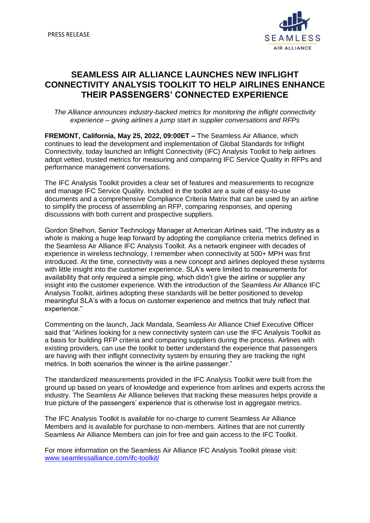

## **SEAMLESS AIR ALLIANCE LAUNCHES NEW INFLIGHT CONNECTIVITY ANALYSIS TOOLKIT TO HELP AIRLINES ENHANCE THEIR PASSENGERS' CONNECTED EXPERIENCE**

*The Alliance announces industry-backed metrics for monitoring the inflight connectivity experience – giving airlines a jump start in supplier conversations and RFPs*

**FREMONT, California, May 25, 2022, 09:00ET –** The Seamless Air Alliance, which continues to lead the development and implementation of Global Standards for Inflight Connectivity, today launched an Inflight Connectivity (IFC) Analysis Toolkit to help airlines adopt vetted, trusted metrics for measuring and comparing IFC Service Quality in RFPs and performance management conversations.

The IFC Analysis Toolkit provides a clear set of features and measurements to recognize and manage IFC Service Quality. Included in the toolkit are a suite of easy-to-use documents and a comprehensive Compliance Criteria Matrix that can be used by an airline to simplify the process of assembling an RFP, comparing responses, and opening discussions with both current and prospective suppliers.

Gordon Shelhon, Senior Technology Manager at American Airlines said, "The industry as a whole is making a huge leap forward by adopting the compliance criteria metrics defined in the Seamless Air Alliance IFC Analysis Toolkit. As a network engineer with decades of experience in wireless technology, I remember when connectivity at 500+ MPH was first introduced. At the time, connectivity was a new concept and airlines deployed these systems with little insight into the customer experience. SLA's were limited to measurements for availability that only required a simple ping, which didn't give the airline or supplier any insight into the customer experience. With the introduction of the Seamless Air Alliance IFC Analysis Toolkit, airlines adopting these standards will be better positioned to develop meaningful SLA's with a focus on customer experience and metrics that truly reflect that experience."

Commenting on the launch, Jack Mandala, Seamless Air Alliance Chief Executive Officer said that "Airlines looking for a new connectivity system can use the IFC Analysis Toolkit as a basis for building RFP criteria and comparing suppliers during the process. Airlines with existing providers, can use the toolkit to better understand the experience that passengers are having with their inflight connectivity system by ensuring they are tracking the right metrics. In both scenarios the winner is the airline passenger."

The standardized measurements provided in the IFC Analysis Toolkit were built from the ground up based on years of knowledge and experience from airlines and experts across the industry. The Seamless Air Alliance believes that tracking these measures helps provide a true picture of the passengers' experience that is otherwise lost in aggregate metrics.

The IFC Analysis Toolkit is available for no-charge to current Seamless Air Alliance Members and is available for purchase to non-members. Airlines that are not currently Seamless Air Alliance Members can join for free and gain access to the IFC Toolkit.

For more information on the Seamless Air Alliance IFC Analysis Toolkit please visit: [www.seamlessalliance.com/ifc-toolkit/](http://www.seamlessalliance.com/ifc-toolkit/)